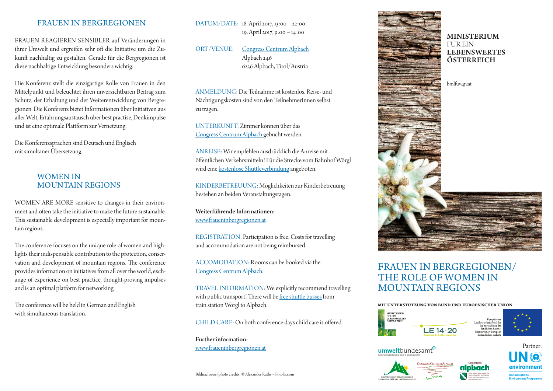# FRAUEN IN BERGREGIONEN

FRAUEN REAGIEREN SENSIBLER auf Veränderungen in ihrer Umwelt und ergreifen sehr oft die Initiative um die Zukunft nachhaltig zu gestalten. Gerade für die Bergregionen ist diese nachhaltige Entwicklung besonders wichtig.

Die Konferenz stellt die einzigartige Rolle von Frauen in den Mittelpunkt und beleuchtet ihren unverzichtbaren Beitrag zum Schutz, der Erhaltung und der Weiterentwicklung von Bergregionen. Die Konferenz bietet Informationen über Initiativen aus aller Welt, Erfahrungsaustausch über best practise, Denkimpulse und ist eine optimale Plattform zur Vernetzung.

Die Konferenzsprachen sind Deutsch und Englisch mit simultaner Übersetzung.

# WOMEN IN MOUNTAIN REGIONS

WOMEN ARE MORE sensitive to changes in their environment and often take the initiative to make the future sustainable. This sustainable development is especially important for mountain regions.

The conference focuses on the unique role of women and highlights their indispensable contribution to the protection, conservation and development of mountain regions. The conference provides information on initiatives from all over the world, exchange of experience on best practice, thought-proving impulses and is an optimal platform for networking.

The conference will be held in German and English with simultaneous translation.

DATUM/DATE: 18. April 2017, 13:00 – 22:00 19. April 2017, 9:00 – 14:00

ORT/VENUE: [Congress Centrum Alpbach](http://www.congressalpbach.com/de/index.php) Alpbach 246 6236 Alpbach, Tirol/Austria

ANMELDUNG: Die Teilnahme ist kostenlos. Reise- und Nächtigungskosten sind von den TeilnehmerInnen selbst zu tragen.

UNTERKUNFT: Zimmer können über das [Congress Centrum Alpbach](https://rooms.alpbach.at/scripts/event.app?pb_package=alpenkonvention&lang=d) gebucht werden.

ANREISE: Wir empfehlen ausdrücklich die Anreise mit öffentlichen Verkehrsmitteln! Für die Strecke vom Bahnhof Wörgl wird eine [kostenlose Shuttleverbindung](http://www.fraueninbergregionen.at/ms/fraueninbergregionen/fib_willkommen/#anreise) angeboten.

KINDERBETREUUNG: Möglichkeiten zur Kinderbetreuung bestehen an beiden Veranstaltungstagen.

Weiterführende Informationen: [www.fraueninbergregionen.at](http://www.fraueninbergregionen.at)

REGISTRATION: Participation is free. Costs for travelling and accommodation are not being reimbursed.

ACCOMODATION: Rooms can be booked via the [Congress Centrum Alpbach](https://rooms.alpbach.at/scripts/event.app?pb_package=alpenkonvention&lang=e).

TRAVEL INFORMATION: We explicitly recommend travelling with public transport! There will be [free shuttle busses](http://www.fraueninbergregionen.at/ms/fraueninbergregionen/fib_welcome/#travel) from train station Wörgl to Alpbach.

CHILD CARE: On both conference days child care is offered.

Further information: [www.fraueninbergregionen.at](http://www.fraueninbergregionen.at/ms/fraueninbergregionen/fib_welcome/)

Bildnachweis/photo credits: © Alexander Raths – Fotolia.com



# FRAUEN IN BERGREGIONEN/ THE ROLE OF WOMEN IN MOUNTAIN REGIONS